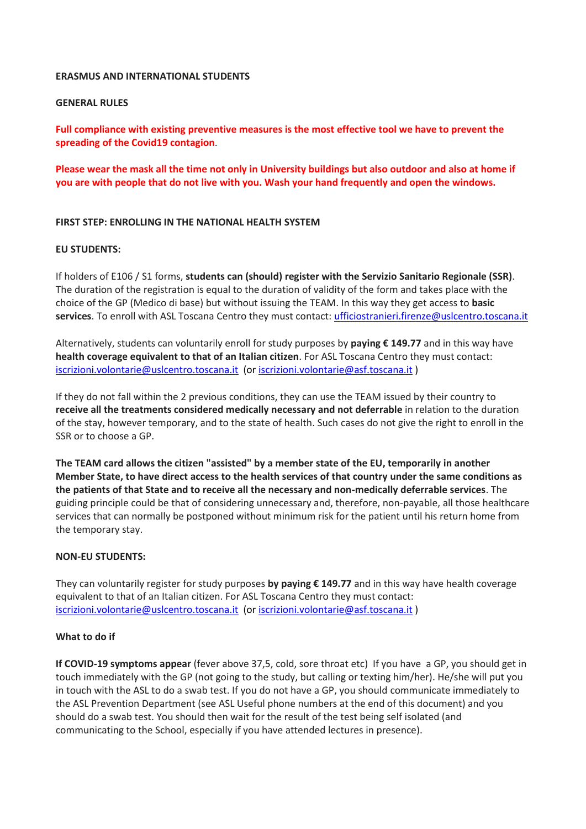#### **ERASMUS AND INTERNATIONAL STUDENTS**

## **GENERAL RULES**

**Full compliance with existing preventive measures is the most effective tool we have to prevent the spreading of the Covid19 contagion**.

Please wear the mask all the time not only in University buildings but also outdoor and also at home if **you are with people that do not live with you. Wash your hand frequently and open the windows.**

### **FIRST STEP: ENROLLING IN THE NATIONAL HEALTH SYSTEM**

#### **EU STUDENTS:**

If holders of E106 / S1 forms, **students can (should) register with the Servizio Sanitario Regionale (SSR)**. The duration of the registration is equal to the duration of validity of the form and takes place with the choice of the GP (Medico di base) but without issuing the TEAM. In this way they get access to **basic services**. To enroll with ASL Toscana Centro they must contact: [ufficiostranieri.firenze@uslcentro.toscana.it](mailto:ufficiostranieri.firenze@uslcentro.toscana.it)

Alternatively, students can voluntarily enroll for study purposes by **paying € 149.77** and in this way have **health coverage equivalent to that of an Italian citizen**. For ASL Toscana Centro they must contact: [iscrizioni.volontarie@uslcentro.toscana.it](mailto:iscrizioni.volontarie@uslcentro.toscana.it) (o[r iscrizioni.volontarie@asf.toscana.it](mailto:iscrizioni.volontarie@asf.toscana.it) )

If they do not fall within the 2 previous conditions, they can use the TEAM issued by their country to **receive all the treatments considered medically necessary and not deferrable** in relation to the duration of the stay, however temporary, and to the state of health. Such cases do not give the right to enroll in the SSR or to choose a GP.

**The TEAM card allows the citizen "assisted" by a member state of the EU, temporarily in another Member State, to have direct access to the health services of that country under the same conditions as the patients of that State and to receive all the necessary and non-medically deferrable services**. The guiding principle could be that of considering unnecessary and, therefore, non-payable, all those healthcare services that can normally be postponed without minimum risk for the patient until his return home from the temporary stay.

### **NON-EU STUDENTS:**

They can voluntarily register for study purposes **by paying € 149.77** and in this way have health coverage equivalent to that of an Italian citizen. For ASL Toscana Centro they must contact: [iscrizioni.volontarie@uslcentro.toscana.it](mailto:iscrizioni.volontarie@uslcentro.toscana.it) (o[r iscrizioni.volontarie@asf.toscana.it](mailto:iscrizioni.volontarie@asf.toscana.it) )

### **What to do if**

**If COVID-19 symptoms appear** (fever above 37,5, cold, sore throat etc) If you have a GP, you should get in touch immediately with the GP (not going to the study, but calling or texting him/her). He/she will put you in touch with the ASL to do a swab test. If you do not have a GP, you should communicate immediately to the ASL Prevention Department (see ASL Useful phone numbers at the end of this document) and you should do a swab test. You should then wait for the result of the test being self isolated (and communicating to the School, especially if you have attended lectures in presence).